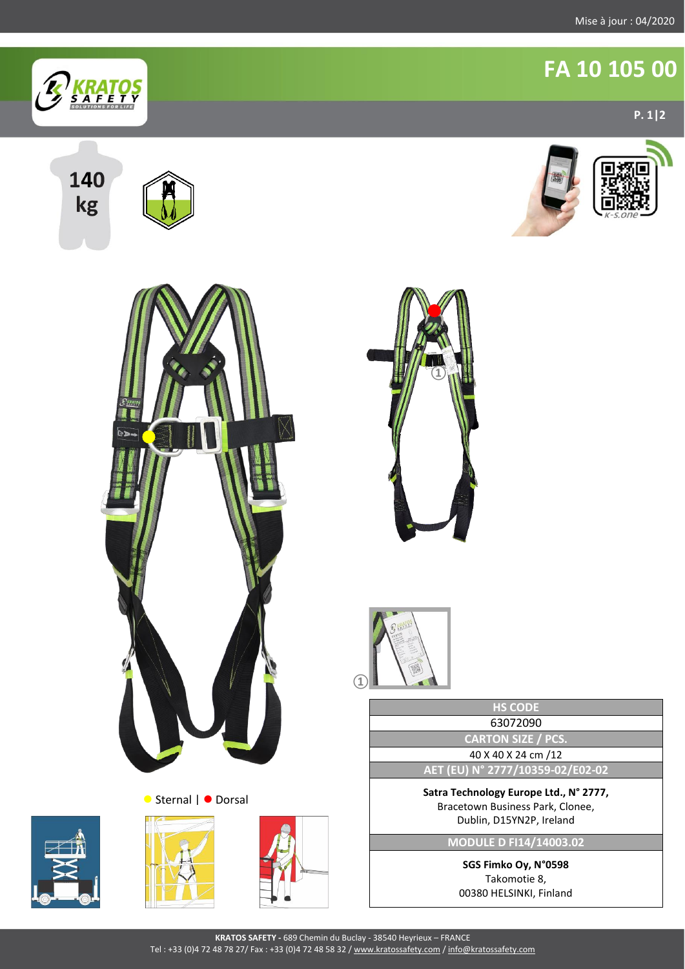**10B/S**

**P. 1|2**

**FA 10 105 00** 



140 kg

















**HS CODE** 63072090 **CARTON SIZE / PCS.** 40 X 40 X 24 cm /12 **AET (EU) N° 2777/10359-02/E02-02** à jour : 05/2019

**Satra Technology Europe Ltd., N° 2777,** Bracetown Business Park, Clonee, Dublin, D15YN2P, Ireland

**MODULE D FI14/14003.02**

**SGS Fimko Oy, N°0598** Takomotie 8, 00380 HELSINKI, Finland

**KRATOS SAFETY -** 689 Chemin du Buclay - 38540 Heyrieux – FRANCE Tel : +33 (0)4 72 48 78 27/ Fax : +33 (0)4 72 48 58 32 [/ www.kratossafety.com](http://www.kratossafety.com/) [/ info@kratossafety.com](mailto:info@kratossafety.com)